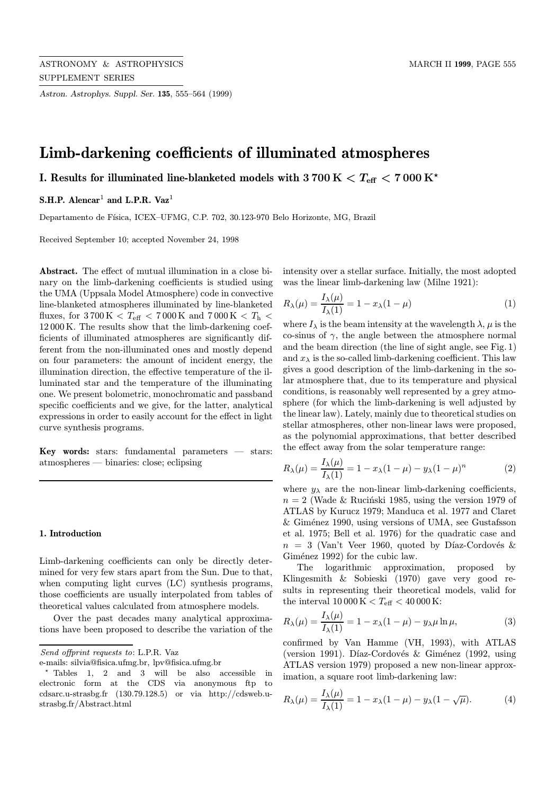Astron. Astrophys. Suppl. Ser. 135, 555–564 (1999)

# Limb-darkening coefficients of illuminated atmospheres

# I. Results for illuminated line-blanketed models with  $3700 \text{ K} < T_{\text{eff}} < 7000 \text{ K}^{\star}$

# S.H.P. Alencar<sup>1</sup> and L.P.R. Vaz<sup>1</sup>

Departamento de Física, ICEX–UFMG, C.P. 702, 30.123-970 Belo Horizonte, MG, Brazil

Received September 10; accepted November 24, 1998

Abstract. The effect of mutual illumination in a close binary on the limb-darkening coefficients is studied using the UMA (Uppsala Model Atmosphere) code in convective line-blanketed atmospheres illuminated by line-blanketed fluxes, for 3700 K <  $T_{\rm eff}$  < 7000 K and 7000 K <  $T_{\rm h}$  < 12 000 K. The results show that the limb-darkening coefficients of illuminated atmospheres are significantly different from the non-illuminated ones and mostly depend on four parameters: the amount of incident energy, the illumination direction, the effective temperature of the illuminated star and the temperature of the illuminating one. We present bolometric, monochromatic and passband specific coefficients and we give, for the latter, analytical expressions in order to easily account for the effect in light curve synthesis programs.

Key words: stars: fundamental parameters — stars: atmospheres — binaries: close; eclipsing

#### 1. Introduction

Limb-darkening coefficients can only be directly determined for very few stars apart from the Sun. Due to that, when computing light curves (LC) synthesis programs, those coefficients are usually interpolated from tables of theoretical values calculated from atmosphere models.

Over the past decades many analytical approximations have been proposed to describe the variation of the intensity over a stellar surface. Initially, the most adopted was the linear limb-darkening law (Milne 1921):

$$
R_{\lambda}(\mu) = \frac{I_{\lambda}(\mu)}{I_{\lambda}(1)} = 1 - x_{\lambda}(1 - \mu)
$$
\n(1)

where  $I_{\lambda}$  is the beam intensity at the wavelength  $\lambda$ ,  $\mu$  is the co-sinus of  $\gamma$ , the angle between the atmosphere normal and the beam direction (the line of sight angle, see Fig. 1) and  $x_{\lambda}$  is the so-called limb-darkening coefficient. This law gives a good description of the limb-darkening in the solar atmosphere that, due to its temperature and physical conditions, is reasonably well represented by a grey atmosphere (for which the limb-darkening is well adjusted by the linear law). Lately, mainly due to theoretical studies on stellar atmospheres, other non-linear laws were proposed, as the polynomial approximations, that better described the effect away from the solar temperature range:

$$
R_{\lambda}(\mu) = \frac{I_{\lambda}(\mu)}{I_{\lambda}(1)} = 1 - x_{\lambda}(1 - \mu) - y_{\lambda}(1 - \mu)^{n}
$$
 (2)

where  $y_{\lambda}$  are the non-linear limb-darkening coefficients,  $n = 2$  (Wade & Rucinski 1985, using the version 1979 of ATLAS by Kurucz 1979; Manduca et al. 1977 and Claret & Gim´enez 1990, using versions of UMA, see Gustafsson et al. 1975; Bell et al. 1976) for the quadratic case and  $n = 3$  (Van't Veer 1960, quoted by Díaz-Cordovés & Giménez 1992) for the cubic law.

The logarithmic approximation, proposed by Klingesmith & Sobieski (1970) gave very good results in representing their theoretical models, valid for the interval  $10\,000\,\mathrm{K} < T_{\mathrm{eff}} < 40\,000\,\mathrm{K}$ :

$$
R_{\lambda}(\mu) = \frac{I_{\lambda}(\mu)}{I_{\lambda}(1)} = 1 - x_{\lambda}(1 - \mu) - y_{\lambda}\mu \ln \mu,
$$
\n(3)

confirmed by Van Hamme (VH, 1993), with ATLAS (version 1991). Díaz-Cordovés & Giménez (1992, using ATLAS version 1979) proposed a new non-linear approximation, a square root limb-darkening law:

$$
R_{\lambda}(\mu) = \frac{I_{\lambda}(\mu)}{I_{\lambda}(1)} = 1 - x_{\lambda}(1 - \mu) - y_{\lambda}(1 - \sqrt{\mu}).
$$
 (4)

Send offprint requests to: L.P.R. Vaz

e-mails: silvia@fisica.ufmg.br, lpv@fisica.ufmg.br

<sup>?</sup> Tables 1, 2 and 3 will be also accessible in electronic form at the CDS via anonymous ftp to cdsarc.u-strasbg.fr (130.79.128.5) or via http://cdsweb.ustrasbg.fr/Abstract.html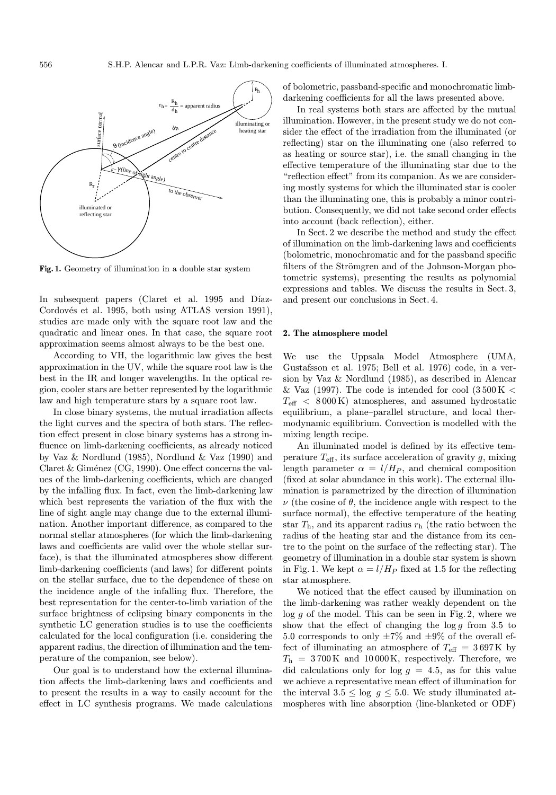

Fig. 1. Geometry of illumination in a double star system

In subsequent papers (Claret et al. 1995 and Díaz-Cordovés et al. 1995, both using ATLAS version 1991), studies are made only with the square root law and the quadratic and linear ones. In that case, the square root approximation seems almost always to be the best one.

According to VH, the logarithmic law gives the best approximation in the UV, while the square root law is the best in the IR and longer wavelengths. In the optical region, cooler stars are better represented by the logarithmic law and high temperature stars by a square root law.

In close binary systems, the mutual irradiation affects the light curves and the spectra of both stars. The reflection effect present in close binary systems has a strong influence on limb-darkening coefficients, as already noticed by Vaz & Nordlund (1985), Nordlund & Vaz (1990) and Claret & Giménez (CG, 1990). One effect concerns the values of the limb-darkening coefficients, which are changed by the infalling flux. In fact, even the limb-darkening law which best represents the variation of the flux with the line of sight angle may change due to the external illumination. Another important difference, as compared to the normal stellar atmospheres (for which the limb-darkening laws and coefficients are valid over the whole stellar surface), is that the illuminated atmospheres show different limb-darkening coefficients (and laws) for different points on the stellar surface, due to the dependence of these on the incidence angle of the infalling flux. Therefore, the best representation for the center-to-limb variation of the surface brightness of eclipsing binary components in the synthetic LC generation studies is to use the coefficients calculated for the local configuration (i.e. considering the apparent radius, the direction of illumination and the temperature of the companion, see below).

Our goal is to understand how the external illumination affects the limb-darkening laws and coefficients and to present the results in a way to easily account for the effect in LC synthesis programs. We made calculations of bolometric, passband-specific and monochromatic limbdarkening coefficients for all the laws presented above.

In real systems both stars are affected by the mutual illumination. However, in the present study we do not consider the effect of the irradiation from the illuminated (or reflecting) star on the illuminating one (also referred to as heating or source star), i.e. the small changing in the effective temperature of the illuminating star due to the "reflection effect" from its companion. As we are considering mostly systems for which the illuminated star is cooler than the illuminating one, this is probably a minor contribution. Consequently, we did not take second order effects into account (back reflection), either.

In Sect. 2 we describe the method and study the effect of illumination on the limb-darkening laws and coefficients (bolometric, monochromatic and for the passband specific filters of the Strömgren and of the Johnson-Morgan photometric systems), presenting the results as polynomial expressions and tables. We discuss the results in Sect. 3, and present our conclusions in Sect. 4.

### 2. The atmosphere model

We use the Uppsala Model Atmosphere (UMA, Gustafsson et al. 1975; Bell et al. 1976) code, in a version by Vaz & Nordlund (1985), as described in Alencar & Vaz (1997). The code is intended for cool (3500 K  $<$  $T_{\text{eff}}$  < 8000 K) atmospheres, and assumed hydrostatic equilibrium, a plane–parallel structure, and local thermodynamic equilibrium. Convection is modelled with the mixing length recipe.

An illuminated model is defined by its effective temperature  $T_{\text{eff}}$ , its surface acceleration of gravity g, mixing length parameter  $\alpha = l/H_P$ , and chemical composition (fixed at solar abundance in this work). The external illumination is parametrized by the direction of illumination  $\nu$  (the cosine of  $\theta$ , the incidence angle with respect to the surface normal), the effective temperature of the heating star  $T<sub>h</sub>$ , and its apparent radius  $r<sub>h</sub>$  (the ratio between the radius of the heating star and the distance from its centre to the point on the surface of the reflecting star). The geometry of illumination in a double star system is shown in Fig. 1. We kept  $\alpha = l/H_P$  fixed at 1.5 for the reflecting star atmosphere.

We noticed that the effect caused by illumination on the limb-darkening was rather weakly dependent on the  $log\ q$  of the model. This can be seen in Fig. 2, where we show that the effect of changing the  $\log g$  from 3.5 to 5.0 corresponds to only  $\pm 7\%$  and  $\pm 9\%$  of the overall effect of illuminating an atmosphere of  $T_{\text{eff}} = 3697 \text{K}$  by  $T_h = 3700 \text{ K}$  and 10000 K, respectively. Therefore, we did calculations only for  $log\ g = 4.5$ , as for this value we achieve a representative mean effect of illumination for the interval  $3.5 \leq \log g \leq 5.0$ . We study illuminated atmospheres with line absorption (line-blanketed or ODF)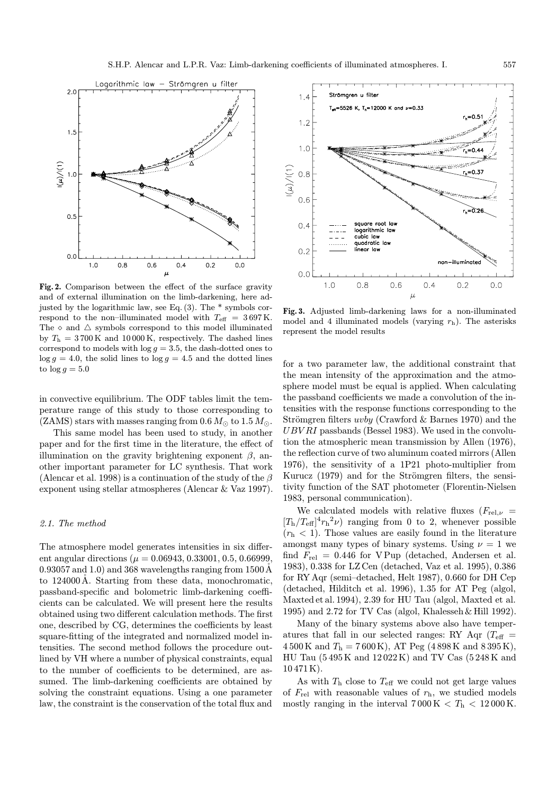

Fig. 2. Comparison between the effect of the surface gravity and of external illumination on the limb-darkening, here adjusted by the logarithmic law, see Eq. (3). The \* symbols correspond to the non–illuminated model with  $T_{\text{eff}} = 3697 \text{ K}$ . The  $\diamond$  and  $\triangle$  symbols correspond to this model illuminated by  $T_h = 3700 \text{ K}$  and 10000 K, respectively. The dashed lines correspond to models with  $log\ g = 3.5$ , the dash-dotted ones to  $log g = 4.0$ , the solid lines to  $log g = 4.5$  and the dotted lines to  $\log g = 5.0$ 

in convective equilibrium. The ODF tables limit the temperature range of this study to those corresponding to (ZAMS) stars with masses ranging from 0.6  $M_{\odot}$  to 1.5  $M_{\odot}$ .

This same model has been used to study, in another paper and for the first time in the literature, the effect of illumination on the gravity brightening exponent  $\beta$ , another important parameter for LC synthesis. That work (Alencar et al. 1998) is a continuation of the study of the  $\beta$ exponent using stellar atmospheres (Alencar & Vaz 1997).

## 2.1. The method

The atmosphere model generates intensities in six different angular directions ( $\mu = 0.06943, 0.33001, 0.5, 0.66999,$ 0.93057 and 1.0) and 368 wavelengths ranging from  $1500 \text{\AA}$ to 124000Å. Starting from these data, monochromatic, passband-specific and bolometric limb-darkening coefficients can be calculated. We will present here the results obtained using two different calculation methods. The first one, described by CG, determines the coefficients by least square-fitting of the integrated and normalized model intensities. The second method follows the procedure outlined by VH where a number of physical constraints, equal to the number of coefficients to be determined, are assumed. The limb-darkening coefficients are obtained by solving the constraint equations. Using a one parameter law, the constraint is the conservation of the total flux and



Fig. 3. Adjusted limb-darkening laws for a non-illuminated model and 4 illuminated models (varying  $r<sub>h</sub>$ ). The asterisks represent the model results

for a two parameter law, the additional constraint that the mean intensity of the approximation and the atmosphere model must be equal is applied. When calculating the passband coefficients we made a convolution of the intensities with the response functions corresponding to the Strömgren filters *uvby* (Crawford & Barnes 1970) and the  $UBVRI$  passbands (Bessel 1983). We used in the convolution the atmospheric mean transmission by Allen (1976), the reflection curve of two aluminum coated mirrors (Allen 1976), the sensitivity of a 1P21 photo-multiplier from Kurucz (1979) and for the Strömgren filters, the sensitivity function of the SAT photometer (Florentin-Nielsen 1983, personal communication).

We calculated models with relative fluxes  $(F_{rel,\nu} =$  $[T_h/T_{\text{eff}}]^4 r_h^2 \nu$  ranging from 0 to 2, whenever possible  $(r<sub>h</sub> < 1)$ . Those values are easily found in the literature amongst many types of binary systems. Using  $\nu = 1$  we find  $F_{\text{rel}} = 0.446$  for VPup (detached, Andersen et al. 1983), 0.338 for LZ Cen (detached, Vaz et al. 1995), 0.386 for RY Aqr (semi–detached, Helt 1987), 0.660 for DH Cep (detached, Hilditch et al. 1996), 1.35 for AT Peg (algol, Maxted et al. 1994), 2.39 for HU Tau (algol, Maxted et al. 1995) and 2.72 for TV Cas (algol, Khalesseh & Hill 1992).

Many of the binary systems above also have temperatures that fall in our selected ranges: RY Aqr  $(T_{\text{eff}} =$  $4\,500\,\mathrm{K}$  and  $T_{\rm h} = 7\,600\,\mathrm{K}$ , AT Peg (4898 K and 8395 K), HU Tau (5 495 K and 12 022 K) and TV Cas (5 248 K and 10 471 K).

As with  $T<sub>h</sub>$  close to  $T<sub>eff</sub>$  we could not get large values of  $F_{rel}$  with reasonable values of  $r<sub>h</sub>$ , we studied models mostly ranging in the interval  $7000 \text{ K} < T_h < 12000 \text{ K}$ .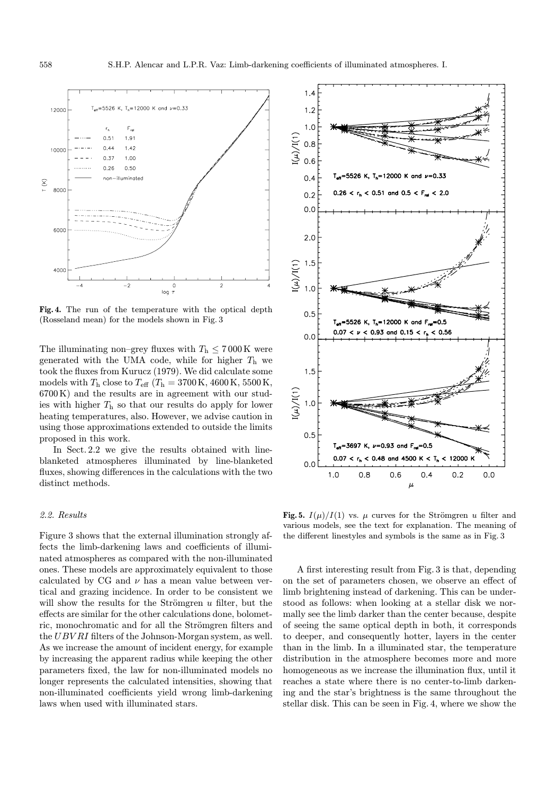

Fig. 4. The run of the temperature with the optical depth (Rosseland mean) for the models shown in Fig. 3

The illuminating non–grey fluxes with  $T_h \leq 7000 \,\mathrm{K}$  were generated with the UMA code, while for higher  $T<sub>h</sub>$  we took the fluxes from Kurucz (1979). We did calculate some models with  $T_{\rm h}$  close to  $T_{\rm eff}$  ( $T_{\rm h} = 3700 \,\rm K, 4600 \,\rm K, 5500 \,\rm K,$ 6700 K) and the results are in agreement with our studies with higher  $T<sub>h</sub>$  so that our results do apply for lower heating temperatures, also. However, we advise caution in using those approximations extended to outside the limits proposed in this work.

In Sect. 2.2 we give the results obtained with lineblanketed atmospheres illuminated by line-blanketed fluxes, showing differences in the calculations with the two distinct methods.

# 2.2. Results

Figure 3 shows that the external illumination strongly affects the limb-darkening laws and coefficients of illuminated atmospheres as compared with the non-illuminated ones. These models are approximately equivalent to those calculated by CG and  $\nu$  has a mean value between vertical and grazing incidence. In order to be consistent we will show the results for the Strömgren  $u$  filter, but the effects are similar for the other calculations done, bolometric, monochromatic and for all the Strömgren filters and the UBV RI filters of the Johnson-Morgan system, as well. As we increase the amount of incident energy, for example by increasing the apparent radius while keeping the other parameters fixed, the law for non-illuminated models no longer represents the calculated intensities, showing that non-illuminated coefficients yield wrong limb-darkening laws when used with illuminated stars.



Fig. 5.  $I(\mu)/I(1)$  vs.  $\mu$  curves for the Strömgren u filter and various models, see the text for explanation. The meaning of the different linestyles and symbols is the same as in Fig. 3

A first interesting result from Fig. 3 is that, depending on the set of parameters chosen, we observe an effect of limb brightening instead of darkening. This can be understood as follows: when looking at a stellar disk we normally see the limb darker than the center because, despite of seeing the same optical depth in both, it corresponds to deeper, and consequently hotter, layers in the center than in the limb. In a illuminated star, the temperature distribution in the atmosphere becomes more and more homogeneous as we increase the illumination flux, until it reaches a state where there is no center-to-limb darkening and the star's brightness is the same throughout the stellar disk. This can be seen in Fig. 4, where we show the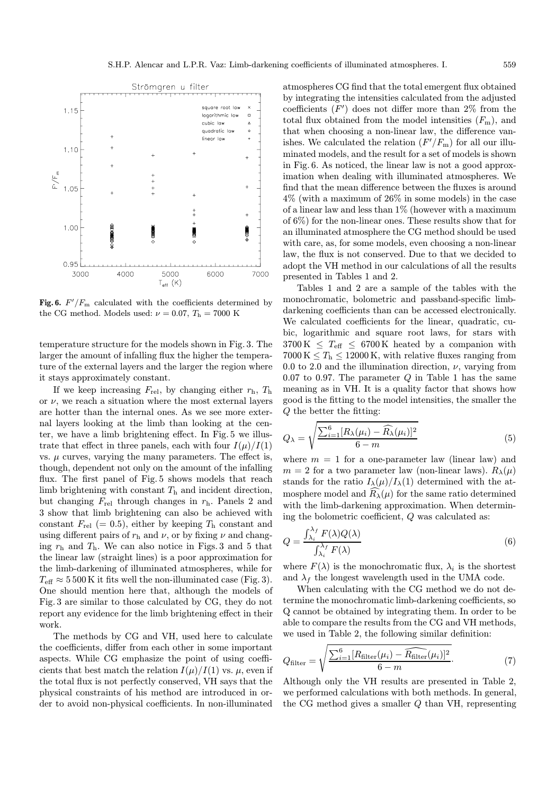

Fig. 6.  $F'/F_{\text{m}}$  calculated with the coefficients determined by the CG method. Models used:  $\nu = 0.07, T_h = 7000$  K

temperature structure for the models shown in Fig. 3. The larger the amount of infalling flux the higher the temperature of the external layers and the larger the region where it stays approximately constant.

If we keep increasing  $F_{\text{rel}}$ , by changing either  $r_{\text{h}}$ ,  $T_{\text{h}}$ or  $\nu$ , we reach a situation where the most external layers are hotter than the internal ones. As we see more external layers looking at the limb than looking at the center, we have a limb brightening effect. In Fig. 5 we illustrate that effect in three panels, each with four  $I(\mu)/I(1)$ vs.  $\mu$  curves, varying the many parameters. The effect is, though, dependent not only on the amount of the infalling flux. The first panel of Fig. 5 shows models that reach limb brightening with constant  $T<sub>h</sub>$  and incident direction, but changing  $F_{rel}$  through changes in  $r_h$ . Panels 2 and 3 show that limb brightening can also be achieved with constant  $F_{rel}$  (= 0.5), either by keeping  $T_h$  constant and using different pairs of  $r<sub>h</sub>$  and  $\nu$ , or by fixing  $\nu$  and changing  $r<sub>h</sub>$  and  $T<sub>h</sub>$ . We can also notice in Figs. 3 and 5 that the linear law (straight lines) is a poor approximation for the limb-darkening of illuminated atmospheres, while for  $T_{\text{eff}} \approx 5500 \text{K}$  it fits well the non-illuminated case (Fig. 3). One should mention here that, although the models of Fig. 3 are similar to those calculated by CG, they do not report any evidence for the limb brightening effect in their work.

The methods by CG and VH, used here to calculate the coefficients, differ from each other in some important aspects. While CG emphasize the point of using coefficients that best match the relation  $I(\mu)/I(1)$  vs.  $\mu$ , even if the total flux is not perfectly conserved, VH says that the physical constraints of his method are introduced in order to avoid non-physical coefficients. In non-illuminated

atmospheres CG find that the total emergent flux obtained by integrating the intensities calculated from the adjusted coefficients  $(F')$  does not differ more than  $2\%$  from the total flux obtained from the model intensities  $(F_m)$ , and that when choosing a non-linear law, the difference vanishes. We calculated the relation  $(F'/F<sub>m</sub>)$  for all our illuminated models, and the result for a set of models is shown in Fig. 6. As noticed, the linear law is not a good approximation when dealing with illuminated atmospheres. We find that the mean difference between the fluxes is around 4% (with a maximum of 26% in some models) in the case of a linear law and less than  $1\%$  (however with a maximum of 6%) for the non-linear ones. These results show that for an illuminated atmosphere the CG method should be used with care, as, for some models, even choosing a non-linear law, the flux is not conserved. Due to that we decided to adopt the VH method in our calculations of all the results presented in Tables 1 and 2.

Tables 1 and 2 are a sample of the tables with the monochromatic, bolometric and passband-specific limbdarkening coefficients than can be accessed electronically. We calculated coefficients for the linear, quadratic, cubic, logarithmic and square root laws, for stars with  $3700 \text{ K} \leq T_{\text{eff}} \leq 6700 \text{ K}$  heated by a companion with  $7000 \text{ K} \leq T_{\text{h}} \leq 12000 \text{ K}$ , with relative fluxes ranging from 0.0 to 2.0 and the illumination direction,  $\nu$ , varying from 0.07 to 0.97. The parameter  $Q$  in Table 1 has the same meaning as in VH. It is a quality factor that shows how good is the fitting to the model intensities, the smaller the Q the better the fitting:

$$
Q_{\lambda} = \sqrt{\frac{\sum_{i=1}^{6} [R_{\lambda}(\mu_i) - \widehat{R_{\lambda}}(\mu_i)]^2}{6 - m}}
$$
(5)

where  $m = 1$  for a one-parameter law (linear law) and  $m = 2$  for a two parameter law (non-linear laws).  $R_{\lambda}(\mu)$ stands for the ratio  $I_{\lambda}(\mu)/I_{\lambda}(1)$  determined with the atmosphere model and  $R_{\lambda}(\mu)$  for the same ratio determined with the limb-darkening approximation. When determining the bolometric coefficient, Q was calculated as:

$$
Q = \frac{\int_{\lambda_i}^{\lambda_f} F(\lambda) Q(\lambda)}{\int_{\lambda_i}^{\lambda_f} F(\lambda)} \tag{6}
$$

where  $F(\lambda)$  is the monochromatic flux,  $\lambda_i$  is the shortest and  $\lambda_f$  the longest wavelength used in the UMA code.

When calculating with the CG method we do not determine the monochromatic limb-darkening coefficients, so Q cannot be obtained by integrating them. In order to be able to compare the results from the CG and VH methods, we used in Table 2, the following similar definition:

$$
Q_{\text{filter}} = \sqrt{\frac{\sum_{i=1}^{6} [R_{\text{filter}}(\mu_i) - \widehat{R_{\text{filter}}}(\mu_i)]^2}{6 - m}}.
$$
 (7)

Although only the VH results are presented in Table 2, we performed calculations with both methods. In general, the CG method gives a smaller Q than VH, representing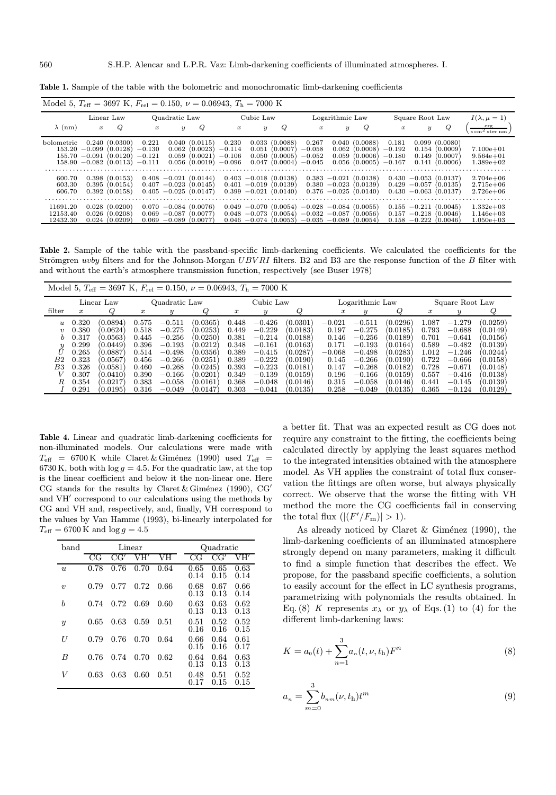| Model 5, $T_{\text{eff}} = 3697 \text{ K}$ , $F_{\text{rel}} = 0.150$ , $\nu = 0.06943$ , $T_{\text{h}} = 7000 \text{ K}$ |                                                          |                                                                                          |                                           |                                                                                                          |                                                   |                                           |                                                                        |                                                                                                 |                                           |                                            |                                                                                                                     |                                                    |                                                     |                                                                                                          |                                                                                                  |
|---------------------------------------------------------------------------------------------------------------------------|----------------------------------------------------------|------------------------------------------------------------------------------------------|-------------------------------------------|----------------------------------------------------------------------------------------------------------|---------------------------------------------------|-------------------------------------------|------------------------------------------------------------------------|-------------------------------------------------------------------------------------------------|-------------------------------------------|--------------------------------------------|---------------------------------------------------------------------------------------------------------------------|----------------------------------------------------|-----------------------------------------------------|----------------------------------------------------------------------------------------------------------|--------------------------------------------------------------------------------------------------|
|                                                                                                                           | Linear Law                                               |                                                                                          | Quadratic Law                             |                                                                                                          | Cubic Law                                         |                                           | Logarithmic Law                                                        |                                                                                                 |                                           | Square Root Law                            |                                                                                                                     |                                                    | $I(\lambda, \mu = 1)$                               |                                                                                                          |                                                                                                  |
| $\lambda$ (nm)                                                                                                            | $\boldsymbol{x}$                                         | Q                                                                                        | $\boldsymbol{x}$                          | $\boldsymbol{y}$                                                                                         | Q                                                 | $\boldsymbol{x}$                          | $\boldsymbol{y}$                                                       | Q                                                                                               | $\boldsymbol{x}$                          | $\boldsymbol{y}$                           | Q                                                                                                                   | $\boldsymbol{x}$                                   | $\boldsymbol{y}$                                    | Q                                                                                                        | $rac{erg}{s cm2 ster nm}$                                                                        |
| <b>bolometric</b><br>153.20<br>155.70<br>158.90<br>600.70<br>603.30<br>606.70                                             | 0.240<br>$-0.099$<br>$-0.091$<br>0.398<br>0.395<br>0.392 | (0.0300)<br>(0.0128)<br>(0.0120)<br>$-0.082(0.0113)$<br>(0.0153)<br>(0.0154)<br>(0.0158) | 0.221<br>$-0.130$<br>$-0.121$<br>$-0.111$ | 0.062<br>0.059<br>0.056<br>$0.408 - 0.021(0.0144)$<br>$0.407 - 0.023(0.0145)$<br>$0.405 - 0.025(0.0147)$ | 0.040(0.0115)<br>(0.0023)<br>(0.0021)<br>(0.0019) | 0.230<br>$-0.114$<br>$-0.106$<br>$-0.096$ | 0.033<br>0.051<br>0.050<br>0.047<br>$0.401 - 0.019$<br>$0.399 - 0.021$ | (0.0088)<br>(0.0007<br>(0.0005)<br>(0.0004)<br>$0.403 - 0.018$ (0.0138)<br>(0.0139)<br>(0.0140) | 0.267<br>$-0.058$<br>$-0.052$<br>$-0.045$ | 0.040<br>0.062<br>0.059<br>$0.383 - 0.021$ | (0.0088)<br>(0.0008)<br>(0.0006)<br>0.056(0.0005)<br>(0.0138)<br>$0.380 - 0.023(0.0139)$<br>$0.376 - 0.025(0.0140)$ | 0.181<br>$-0.192$<br>$-0.180$<br>$-0.167$<br>0.430 | 0.099<br>0.154<br>0.149<br>0.141<br>$0.429 - 0.057$ | (0.0080)<br>(0.0009)<br>(0.0007)<br>(0.0006)<br>$-0.053(0.0137)$<br>(0.0135)<br>$0.430 - 0.063$ (0.0137) | $7.100e + 01$<br>$9.564e + 01$<br>$1.389e+02$<br>$2.704e + 06$<br>$2.715e + 06$<br>$2.726e + 06$ |
| 11691.20<br>12153.40<br>12432.30                                                                                          | 0.028<br>0.026<br>0.024                                  | (0.0200)<br>(0.0208)<br>(0.0209)                                                         | 0.070<br>0.069<br>0.069                   | $-0.084(0.0076)$<br>$-0.087$<br>$-0.089$                                                                 | (0.0077)<br>(0.0077)                              | 0.049<br>0.048<br>0.046                   | $-0.070$<br>$-0.073$<br>$-0.074$                                       | (0.0054)<br>(0.0054)<br>(0.0053)                                                                | $-0.028$<br>$-0.032 - 0.087$<br>$-0.035$  | $-0.089$                                   | $-0.084(0.0055)$<br>(0.0056)<br>(0.0054)                                                                            | 0.155<br>0.157<br>0.158                            | $-0.211$<br>$-0.218$<br>$-0.222$                    | (0.0045)<br>(0.0046)<br>(0.0046)                                                                         | $1.332e+03$<br>$1.146e + 03$<br>$1.050e + 03$                                                    |

Table 1. Sample of the table with the bolometric and monochromatic limb-darkening coefficients

Table 2. Sample of the table with the passband-specific limb-darkening coefficients. We calculated the coefficients for the Strömgren uvby filters and for the Johnson-Morgan  $UBVRI$  filters. B2 and B3 are the response function of the B filter with and without the earth's atmosphere transmission function, respectively (see Buser 1978)

|                     |                  |            |                  |          | Model 5, $T_{\text{eff}} = 3697 \text{ K}$ , $F_{\text{rel}} = 0.150$ , $\nu = 0.06943$ , $T_h = 7000 \text{ K}$ |                  |          |                 |                  |                  |                 |                  |          |          |
|---------------------|------------------|------------|------------------|----------|------------------------------------------------------------------------------------------------------------------|------------------|----------|-----------------|------------------|------------------|-----------------|------------------|----------|----------|
|                     |                  | Linear Law | Quadratic Law    |          | Cubic Law                                                                                                        |                  |          | Logarithmic Law |                  |                  | Square Root Law |                  |          |          |
| filter              | $\boldsymbol{x}$ | Q          | $\boldsymbol{x}$ | y        |                                                                                                                  | $\boldsymbol{x}$ | y        |                 | $\boldsymbol{x}$ | $\boldsymbol{y}$ | 6               | $\boldsymbol{x}$ | y        |          |
| $\overline{u}$      | 0.320            | (0.0894)   | 0.575            | $-0.511$ | (0.0365)                                                                                                         | 0.448            | $-0.426$ | (0.0301)        | $-0.021$         | $-0.511$         | (0.0296)        | 0.087            | $-1.279$ | (0.0259) |
| $\boldsymbol{\eta}$ | 0.380            | (0.0624)   | 0.518            | $-0.275$ | (0.0253)                                                                                                         | 0.449            | $-0.229$ | (0.0183)        | 0.197            | $-0.275$         | (0.0185)        | 0.793            | $-0.688$ | (0.0149) |
| b.                  | 0.317            | (0.0563)   | 0.445            | $-0.256$ | (0.0250)                                                                                                         | 0.381            | $-0.214$ | (0.0188)        | 0.146            | $-0.256$         | (0.0189)        | 0.701            | $-0.641$ | (0.0156) |
| $\boldsymbol{y}$    | 0.299            | (0.0449)   | 0.396            | $-0.193$ | (0.0212)                                                                                                         | 0.348            | $-0.161$ | (0.0163)        | 0.171            | $-0.193$         | (0.0164)        | 0.589            | $-0.482$ | (0.0139) |
| $\bar{U}$           | 0.265            | (0.0887)   | 0.514            | $-0.498$ | (0.0356)                                                                                                         | 0.389            | $-0.415$ | (0.0287)        | $-0.068$         | $-0.498$         | (0.0283)        | 1.012            | $-1.246$ | (0.0244) |
| B2                  | 0.323            | (0.0567)   | 0.456            | $-0.266$ | (0.0251)                                                                                                         | 0.389            | $-0.222$ | (0.0190)        | 0.145            | $-0.266$         | (0.0190)        | 0.722            | $-0.666$ | (0.0158) |
| B3                  | 0.326            | (0.0581    | 0.460            | $-0.268$ | (0.0245)                                                                                                         | 0.393            | $-0.223$ | (0.0181)        | 0.147            | $-0.268$         | (0.0182)        | 0.728            | $-0.671$ | (0.0148) |
| V                   | 0.307            | (0.0410)   | 0.390            | $-0.166$ | (0.0201)                                                                                                         | 0.349            | $-0.139$ | (0.0159)        | 0.196            | $-0.166$         | (0.0159)        | 0.557            | $-0.416$ | (0.0138) |
| R.                  | 0.354            | (0.0217)   | 0.383            | $-0.058$ | (0.0161)                                                                                                         | 0.368            | $-0.048$ | (0.0146)        | 0.315            | $-0.058$         | (0.0146)        | 0.441            | $-0.145$ | (0.0139) |
|                     | 0.291            | (0.0195)   | 0.316            | $-0.049$ | (0.0147)                                                                                                         | 0.303            | $-0.041$ | (0.0135)        | 0.258            | $-0.049$         | (0.0135)        | 0.365            | $-0.124$ | (0.0129) |

Table 4. Linear and quadratic limb-darkening coefficients for non-illuminated models. Our calculations were made with  $T_{\text{eff}}$  = 6700 K while Claret & Giménez (1990) used  $T_{\text{eff}}$  = 6730 K, both with  $\log g = 4.5$ . For the quadratic law, at the top is the linear coefficient and below it the non-linear one. Here CG stands for the results by Claret & Giménez (1990), CG' and VH<sup>'</sup> correspond to our calculations using the methods by CG and VH and, respectively, and, finally, VH correspond to the values by Van Hamme (1993), bi-linearly interpolated for  $T_{\text{eff}} = 6700 \text{ K}$  and  $\log g = 4.5$ 

| band             |      |      | Linear | Quadratic |              |              |              |  |
|------------------|------|------|--------|-----------|--------------|--------------|--------------|--|
|                  | CG   | CG   | VH′    | VH        | CG           | CG'          | VH′          |  |
| $\boldsymbol{u}$ | 0.78 | 0.76 | 0.70   | 0.64      | 0.65<br>0.14 | 0.65<br>0.15 | 0.63<br>0.14 |  |
| $\boldsymbol{v}$ | 0.79 | 0.77 | 0.72   | 0.66      | 0.68<br>0.13 | 0.67<br>0.13 | 0.66<br>0.14 |  |
| b                | 0.74 | 0.72 | 0.69   | 0.60      | 0.63<br>0.13 | 0.63<br>0.13 | 0.62<br>0.13 |  |
| $\boldsymbol{y}$ | 0.65 | 0.63 | 0.59   | 0.51      | 0.51<br>0.16 | 0.52<br>0.16 | 0.52<br>0.15 |  |
| U                | 0.79 | 0.76 | 0.70   | 0.64      | 0.66<br>0.15 | 0.64<br>0.16 | 0.61<br>0.17 |  |
| B                | 0.76 | 0.74 | 0.70   | 0.62      | 0.64<br>0.13 | 0.64<br>0.13 | 0.63<br>0.13 |  |
| V                | 0.63 | 0.63 | 0.60   | 0.51      | 0.48<br>0.17 | 0.51<br>0.15 | 0.52<br>0.15 |  |

a better fit. That was an expected result as CG does not require any constraint to the fitting, the coefficients being calculated directly by applying the least squares method to the integrated intensities obtained with the atmosphere model. As VH applies the constraint of total flux conservation the fittings are often worse, but always physically correct. We observe that the worse the fitting with VH method the more the CG coefficients fail in conserving the total flux  $(|(F'/F_{\rm m})| > 1)$ .

As already noticed by Claret & Giménez (1990), the limb-darkening coefficients of an illuminated atmosphere strongly depend on many parameters, making it difficult to find a simple function that describes the effect. We propose, for the passband specific coefficients, a solution to easily account for the effect in LC synthesis programs, parametrizing with polynomials the results obtained. In Eq. (8) K represents  $x_{\lambda}$  or  $y_{\lambda}$  of Eqs. (1) to (4) for the different limb-darkening laws:

$$
K = a_0(t) + \sum_{n=1}^{3} a_n(t, \nu, t_h) F^n
$$
 (8)

$$
a_n = \sum_{m=0}^{3} b_{nm}(\nu, t_h) t^m
$$
\n(9)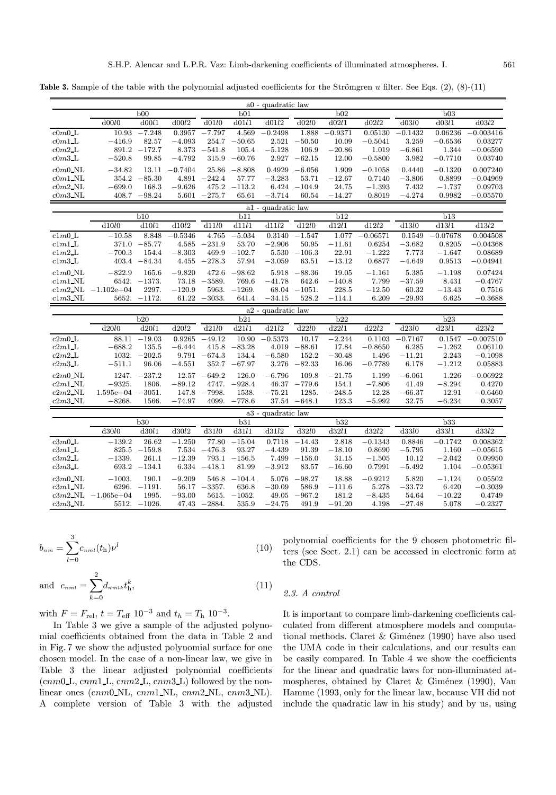Table 3. Sample of the table with the polynomial adjusted coefficients for the Strömgren  $u$  filter. See Eqs. (2), (8)-(11)

|                                              |               |                         |                  |                          |                   | a0 - quadratic law |                   |                   |                   |                   |                   |                     |
|----------------------------------------------|---------------|-------------------------|------------------|--------------------------|-------------------|--------------------|-------------------|-------------------|-------------------|-------------------|-------------------|---------------------|
|                                              |               | b00                     |                  |                          | b01               |                    |                   | b02               |                   |                   | b03               |                     |
|                                              | d00l0         | d00l1                   | d00l2            | $d$ 01 $l$ 0             | d01l1             | d01l2              | d02l0             | d02l1             | d02l2             | d03l0             | d03l1             | d03l2               |
| $c$ 0 $m$ 0 $L$                              | 10.93         | $-7.248$                | 0.3957           | $-7.797$                 | 4.569             | $-0.2498$          | 1.888             | $-0.9371$         | 0.05130           | $-0.1432$         | 0.06236           | $-0.003416$         |
| $\text{c}0m1$ <sub>L</sub>                   | $-416.9$      | 82.57                   | $-4.093$         | 254.7                    | $-50.65$          | 2.521              | $-50.50$          | 10.09             | $-0.5041$         | 3.259             | $-0.6536$         | 0.03277             |
| $\text{c}0m2 \text{L}$                       |               | $891.2 -172.7$          | 8.373            | $-541.8$                 | 105.4             | $-5.128$           | 106.9             | $-20.86$          | 1.019             | $-6.861$          | 1.344             | $-0.06590$          |
| $c$ 0 $m$ 3 $L$                              | $-520.8$      | 99.85                   | $-4.792$         | 315.9                    | $-60.76$          | 2.927              | $-62.15$          | 12.00             | $-0.5800$         | 3.982             | $-0.7710$         | 0.03740             |
| $c0m0$ NL                                    | $-34.82$      |                         | $13.11 - 0.7404$ | 25.86                    | $-8.808$          | 0.4929             | $-6.056$          | 1.909             | $-0.1058$         | 0.4440            | $-0.1320$         | 0.007240            |
| $\mathit{c0m1\_NL}$                          | 354.2         | $-85.30$                | 4.891            | $-242.4$                 | 57.77             | $-3.283$           | 53.71             | $-12.67$          | 0.7140            | $-3.806$          | 0.8899            | $-0.04969$          |
| $c$ 0 $m$ 2 NL                               | $-699.0$      | 168.3                   | $-9.626$         | 475.2                    | $-113.2$          | 6.424              | $-104.9$          | 24.75             | $-1.393$          | 7.432             | $-1.737$          | 0.09703             |
| $c0m3$ NL                                    |               | $408.7 - 98.24$         | 5.601            | $-275.7$                 | 65.61             | $-3.714$           | 60.54             | $-14.27$          | 0.8019            | $-4.274$          | 0.9982            | $-0.05570$          |
|                                              |               |                         |                  |                          |                   | a1 - quadratic law |                   |                   |                   |                   |                   |                     |
|                                              |               | b10                     |                  |                          | b11               |                    |                   | b12               |                   |                   | b13               |                     |
|                                              | ${\rm d}10l0$ | d10l1                   | d10l2            | d11l0                    | d11l1             | d11l2              | d12l0             | d12l1             | $\mathrm{d}12l2$  | d13l0             | dl3l1             | $\mathrm{d}13l2$    |
| c1m0L                                        | $-10.58$      | 8.848                   | $-0.5346$        | 4.765                    | $-5.034$          | 0.3140             | $-1.547$          | 1.077             | $-0.06571$        | 0.1549            | $-0.07678$        | 0.004508            |
| clm1                                         | 371.0         | $-85.77$                | 4.585            | $-231.9$                 | 53.70             | $-2.906$           | 50.95             | $-11.61$          | 0.6254            | $-3.682$          | 0.8205            | $-0.04368$          |
| $clm2$ _L                                    | $-700.3$      | 154.4                   | $-8.303$         | 469.9                    | $-102.7$          | 5.530              | $-106.3$          | 22.91             | $-1.222$          | 7.773             | $-1.647$          | 0.08689             |
| c1m3L                                        |               | $403.4 -84.34$          | 4.455            | $-278.3$                 | 57.94             | $-3.059$           | 63.51             | $-13.12$          | 0.6877            | $-4.649$          | 0.9513            | $-0.04941$          |
| $c1m0$ _NL                                   | $-822.9$      | 165.6                   | $-9.820$         | 472.6                    | $-98.62$          | 5.918              | $-88.36$          | 19.05             | $-1.161$          | 5.385             | $-1.198$          | 0.07424             |
| $clm1$ NL                                    | 6542.         | $-1373.$                | 73.18            | $-3589.$                 | 769.6             | $-41.78$           | 642.6             | $-140.8$          | 7.799             | $-37.59$          | 8.431             | $-0.4767$           |
| $clm2$ <sub>NL</sub>                         | $-1.102e+04$  | 2297.                   | $-120.9$         | 5963.                    | $-1269.$          | 68.04              | $-1051.$          | 228.5             | $-12.50$          | 60.32             | $-13.43$          | 0.7516              |
| $c1m3$ <sub>NL</sub>                         |               | $5652. -1172.$          |                  | $61.22 - 3033.$          | 641.4             | $-34.15$           | 528.2             | $-114.1$          | 6.209             | $-29.93$          | 6.625             | $-0.3688$           |
| a2 - quadratic law                           |               |                         |                  |                          |                   |                    |                   |                   |                   |                   |                   |                     |
|                                              |               |                         |                  |                          |                   |                    |                   |                   |                   |                   |                   |                     |
|                                              |               | b20                     |                  |                          | b21               |                    |                   | b22               |                   |                   | b23               |                     |
|                                              | d20l0         | d20l1                   | d20l2            | d21l0                    | d21l1             | d21l2              | d22l0             | d22l1             | d22l2             | d23l0             | d23l1             | d23l2               |
| $c2m0$ _L                                    |               | $88.11 - 19.03$         | 0.9265           | $-49.12$                 | 10.90             | $-0.5373$          | 10.17             | $-2.244$          | 0.1103            | $-0.7167$         | 0.1547            | $-0.007510$         |
| c2m1L                                        | $-688.2$      | 135.5                   | $-6.444$         | 415.8                    | $-83.28$          | 4.019              | $-88.61$          | 17.84             | $-0.8650$         | 6.285             | $-1.262$          | 0.06110             |
| $c2m2$ <sub>L</sub>                          |               | $1032. -202.5$          | 9.791            | $-674.3$                 | 134.4             | $-6.580$           | 152.2             | $-30.48$          | 1.496             | $-11.21$          | 2.243             | $-0.1098$           |
| $c2m3$ _L                                    | $-511.1$      | 96.06                   | $-4.551$         | 352.7                    | $-67.97$          | 3.276              | $-82.33$          | 16.06             | $-0.7789$         | 6.178             | $-1.212$          | 0.05883             |
| $c2m0$ _NL                                   | 1247.         | $-237.2$                | $12.57\,$        | $-649.2$                 | 126.0             | $-6.796$           | 109.8             | $-21.75$          | 1.199             | $-6.061$          | 1.226             | $-0.06922$          |
| $c2m1$ NL                                    | $-9325.$      | 1806.                   | $-89.12$         | 4747.                    | $-928.4$          | 46.37              | $-779.6$          | 154.1             | $-7.806$          | 41.49             | $-8.294$          | 0.4270              |
| $c2m2$ _NL                                   | $1.595e + 04$ | $-3051.$                | 147.8            | $-7998.$                 | 1538.             | $-75.21$           | 1285.             | $-248.5$          | 12.28             | $-66.37$          | 12.91             | $-0.6460$           |
| $c2m3$ _NL                                   | $-8268.$      | 1566.                   | $-74.97$         | 4099.                    | $-778.6$          | 37.54              | $-648.1$          | 123.3             | $-5.992$          | 32.75             | $-6.234$          | 0.3057              |
|                                              |               |                         |                  |                          |                   | a3 - quadratic law |                   |                   |                   |                   |                   |                     |
|                                              |               | b30                     |                  |                          | b31               |                    |                   | b32               |                   |                   | b33               |                     |
|                                              | d30l0         | $\overline{d30l}1$      | ${\rm d}30l2$    | d31l0                    | d31l1             | d31l2              | d32l0             | d32l1             | d32l2             | d33l0             | d33l1             | d33l2               |
| $c3m0$ _L                                    | $-139.2$      | 26.62                   | $-1.250$         | 77.80                    | $-15.04$          | 0.7118             | $-14.43$          | 2.818             | $-0.1343$         | 0.8846            | $-0.1742$         | 0.008362            |
| c3m1L                                        | 825.5         | $-159.8$                | 7.534            | $-476.3$                 | 93.27             | $-4.439$           | 91.39             | $-18.10$          | 0.8690            | $-5.795$          | 1.160             | $-0.05615$          |
| c3m2L                                        | $-1339.$      | 261.1                   | $-12.39$         | 793.1                    | $-156.5$          | 7.499              | $-156.0$          | 31.15             | $-1.505$          | 10.12             | $-2.042$          | 0.09950             |
| c3m3L                                        |               | $693.2 -134.1$          | 6.334            | $-418.1$                 | 81.99             | $-3.912$           | 83.57             | $-16.60$          | 0.7991            | $-5.492$          | 1.104             | $-0.05361$          |
| $c3m0$ NL                                    | $-1003.$      | 190.1                   | $-9.209$         | 546.8                    | $-104.4$          | 5.076              | $-98.27$          | 18.88             | $-0.9212$         | 5.820             | $-1.124$          | 0.05502             |
| $c3m1$ <sub>NL</sub>                         |               | $6296. -1191.$          | 56.17            | $-3357.$                 | 636.8             | $-30.09$           | 586.9             | $-111.6$          | 5.278             | $-33.72$          | 6.420             | $-0.3039$           |
| $c3m2$ <sub>NL</sub><br>$c3m3$ <sub>NL</sub> | $-1.065e+04$  | 1995.<br>$5512. -1026.$ | $-93.00$         | 5615.<br>$47.43 - 2884.$ | $-1052.$<br>535.9 | 49.05<br>$-24.75$  | $-967.2$<br>491.9 | 181.2<br>$-91.20$ | $-8.435$<br>4.198 | 54.64<br>$-27.48$ | $-10.22$<br>5.078 | 0.4749<br>$-0.2327$ |

$$
b_{nm} = \sum_{l=0}^{3} c_{nml}(t_{\rm h}) \nu^l
$$
 (10)

and 
$$
c_{nml} = \sum_{k=0}^{2} d_{nmlk} t_h^k,
$$
 (11)

with  $F=F_{\rm rel},\,t=T_{\rm eff}$ 10<sup>−3</sup> and  $t_h=T_{\rm h}$ 10<sup>−3</sup>.

In Table 3 we give a sample of the adjusted polynomial coefficients obtained from the data in Table 2 and in Fig. 7 we show the adjusted polynomial surface for one chosen model. In the case of a non-linear law, we give in Table 3 the linear adjusted polynomial coefficients  $(cmm0 \text{ L}, \text{cm}m1 \text{ L}, \text{cm}m2 \text{ L}, \text{cm}m3 \text{ L})$  followed by the nonlinear ones (cnm0 NL, cnm1 NL, cnm2 NL, cnm3 NL). A complete version of Table 3 with the adjusted polynomial coefficients for the 9 chosen photometric filters (see Sect. 2.1) can be accessed in electronic form at the CDS.

### 2.3. A control

It is important to compare limb-darkening coefficients calculated from different atmosphere models and computational methods. Claret  $&$  Giménez (1990) have also used the UMA code in their calculations, and our results can be easily compared. In Table 4 we show the coefficients for the linear and quadratic laws for non-illuminated atmospheres, obtained by Claret & Giménez (1990), Van Hamme (1993, only for the linear law, because VH did not include the quadratic law in his study) and by us, using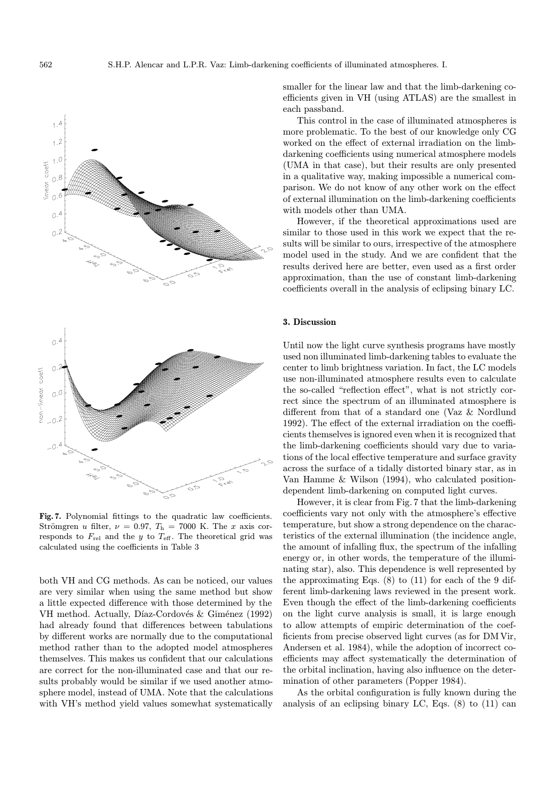

Fig. 7. Polynomial fittings to the quadratic law coefficients. Strömgren u filter,  $\nu = 0.97$ ,  $T_h = 7000$  K. The x axis corresponds to  $F_{rel}$  and the y to  $T_{\text{eff}}$ . The theoretical grid was calculated using the coefficients in Table 3

both VH and CG methods. As can be noticed, our values are very similar when using the same method but show a little expected difference with those determined by the VH method. Actually, Díaz-Cordovés & Giménez (1992) had already found that differences between tabulations by different works are normally due to the computational method rather than to the adopted model atmospheres themselves. This makes us confident that our calculations are correct for the non-illuminated case and that our results probably would be similar if we used another atmosphere model, instead of UMA. Note that the calculations with VH's method yield values somewhat systematically

smaller for the linear law and that the limb-darkening coefficients given in VH (using ATLAS) are the smallest in each passband.

This control in the case of illuminated atmospheres is more problematic. To the best of our knowledge only CG worked on the effect of external irradiation on the limbdarkening coefficients using numerical atmosphere models (UMA in that case), but their results are only presented in a qualitative way, making impossible a numerical comparison. We do not know of any other work on the effect of external illumination on the limb-darkening coefficients with models other than UMA.

However, if the theoretical approximations used are similar to those used in this work we expect that the results will be similar to ours, irrespective of the atmosphere model used in the study. And we are confident that the results derived here are better, even used as a first order approximation, than the use of constant limb-darkening coefficients overall in the analysis of eclipsing binary LC.

## 3. Discussion

Until now the light curve synthesis programs have mostly used non illuminated limb-darkening tables to evaluate the center to limb brightness variation. In fact, the LC models use non-illuminated atmosphere results even to calculate the so-called "reflection effect", what is not strictly correct since the spectrum of an illuminated atmosphere is different from that of a standard one (Vaz & Nordlund 1992). The effect of the external irradiation on the coefficients themselves is ignored even when it is recognized that the limb-darkening coefficients should vary due to variations of the local effective temperature and surface gravity across the surface of a tidally distorted binary star, as in Van Hamme & Wilson (1994), who calculated positiondependent limb-darkening on computed light curves.

However, it is clear from Fig. 7 that the limb-darkening coefficients vary not only with the atmosphere's effective temperature, but show a strong dependence on the characteristics of the external illumination (the incidence angle, the amount of infalling flux, the spectrum of the infalling energy or, in other words, the temperature of the illuminating star), also. This dependence is well represented by the approximating Eqs.  $(8)$  to  $(11)$  for each of the 9 different limb-darkening laws reviewed in the present work. Even though the effect of the limb-darkening coefficients on the light curve analysis is small, it is large enough to allow attempts of empiric determination of the coefficients from precise observed light curves (as for DM Vir, Andersen et al. 1984), while the adoption of incorrect coefficients may affect systematically the determination of the orbital inclination, having also influence on the determination of other parameters (Popper 1984).

As the orbital configuration is fully known during the analysis of an eclipsing binary LC, Eqs. (8) to (11) can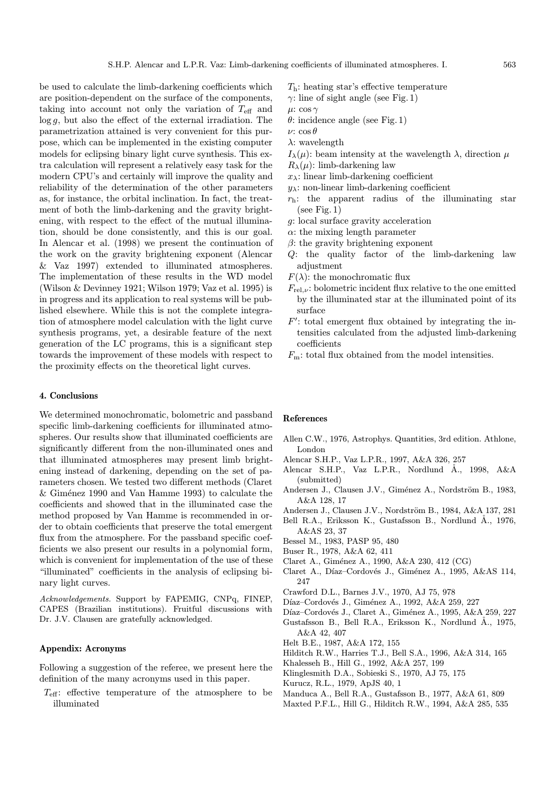be used to calculate the limb-darkening coefficients which are position-dependent on the surface of the components, taking into account not only the variation of  $T_{\text{eff}}$  and  $\log g$ , but also the effect of the external irradiation. The parametrization attained is very convenient for this purpose, which can be implemented in the existing computer models for eclipsing binary light curve synthesis. This extra calculation will represent a relatively easy task for the modern CPU's and certainly will improve the quality and reliability of the determination of the other parameters as, for instance, the orbital inclination. In fact, the treatment of both the limb-darkening and the gravity brightening, with respect to the effect of the mutual illumination, should be done consistently, and this is our goal. In Alencar et al. (1998) we present the continuation of the work on the gravity brightening exponent (Alencar & Vaz 1997) extended to illuminated atmospheres. The implementation of these results in the WD model (Wilson & Devinney 1921; Wilson 1979; Vaz et al. 1995) is in progress and its application to real systems will be published elsewhere. While this is not the complete integration of atmosphere model calculation with the light curve synthesis programs, yet, a desirable feature of the next generation of the LC programs, this is a significant step towards the improvement of these models with respect to the proximity effects on the theoretical light curves.

# 4. Conclusions

We determined monochromatic, bolometric and passband specific limb-darkening coefficients for illuminated atmospheres. Our results show that illuminated coefficients are significantly different from the non-illuminated ones and that illuminated atmospheres may present limb brightening instead of darkening, depending on the set of parameters chosen. We tested two different methods (Claret & Giménez 1990 and Van Hamme 1993) to calculate the coefficients and showed that in the illuminated case the method proposed by Van Hamme is recommended in order to obtain coefficients that preserve the total emergent flux from the atmosphere. For the passband specific coefficients we also present our results in a polynomial form, which is convenient for implementation of the use of these "illuminated" coefficients in the analysis of eclipsing binary light curves.

Acknowledgements. Support by FAPEMIG, CNPq, FINEP, CAPES (Brazilian institutions). Fruitful discussions with Dr. J.V. Clausen are gratefully acknowledged.

# Appendix: Acronyms

Following a suggestion of the referee, we present here the definition of the many acronyms used in this paper.

 $T_{\text{eff}}$ : effective temperature of the atmosphere to be illuminated

- $T<sub>h</sub>$ : heating star's effective temperature
- $\gamma$ : line of sight angle (see Fig. 1)
- $\mu$ : cos  $\gamma$
- $\theta$ : incidence angle (see Fig. 1)
- ν: cos θ
- λ: wavelength
- $I_{\lambda}(\mu)$ : beam intensity at the wavelength  $\lambda$ , direction  $\mu$
- $R_{\lambda}(\mu)$ : limb-darkening law
- $x_{\lambda}$ : linear limb-darkening coefficient
- $y_{\lambda}$ : non-linear limb-darkening coefficient
- $r_{\rm h}$ : the apparent radius of the illuminating star (see Fig. 1)
- g: local surface gravity acceleration
- $\alpha$ : the mixing length parameter
- $\beta$ : the gravity brightening exponent
- Q: the quality factor of the limb-darkening law adjustment
- $F(\lambda)$ : the monochromatic flux
- $F_{\text{rel.}\nu}$ : bolometric incident flux relative to the one emitted by the illuminated star at the illuminated point of its surface
- $F'$ : total emergent flux obtained by integrating the intensities calculated from the adjusted limb-darkening coefficients
- $F_m$ : total flux obtained from the model intensities.

#### References

- Allen C.W., 1976, Astrophys. Quantities, 3rd edition. Athlone, London
- Alencar S.H.P., Vaz L.P.R., 1997, A&A 326, 257
- Alencar S.H.P., Vaz L.P.R., Nordlund Å., 1998, A&A (submitted)
- Andersen J., Clausen J.V., Giménez A., Nordström B., 1983, A&A 128, 17
- Andersen J., Clausen J.V., Nordström B., 1984, A&A 137, 281
- Bell R.A., Eriksson K., Gustafsson B., Nordlund Å., 1976, A&AS 23, 37
- Bessel M., 1983, PASP 95, 480
- Buser R., 1978, A&A 62, 411
- Claret A., Giménez A., 1990, A&A 230, 412 (CG)
- Claret A., Díaz–Cordovés J., Giménez A., 1995, A&AS 114, 247
- Crawford D.L., Barnes J.V., 1970, AJ 75, 978
- Díaz–Cordovés J., Giménez A., 1992, A&A 259, 227
- Díaz–Cordovés J., Claret A., Giménez A., 1995, A&A 259, 227 Gustafsson B., Bell R.A., Eriksson K., Nordlund Å., 1975, A&A 42, 407
- Helt B.E., 1987, A&A 172, 155
- Hilditch R.W., Harries T.J., Bell S.A., 1996, A&A 314, 165
- Khalesseh B., Hill G., 1992, A&A 257, 199
- Klinglesmith D.A., Sobieski S., 1970, AJ 75, 175
- Kurucz, R.L., 1979, ApJS 40, 1
- Manduca A., Bell R.A., Gustafsson B., 1977, A&A 61, 809
- Maxted P.F.L., Hill G., Hilditch R.W., 1994, A&A 285, 535